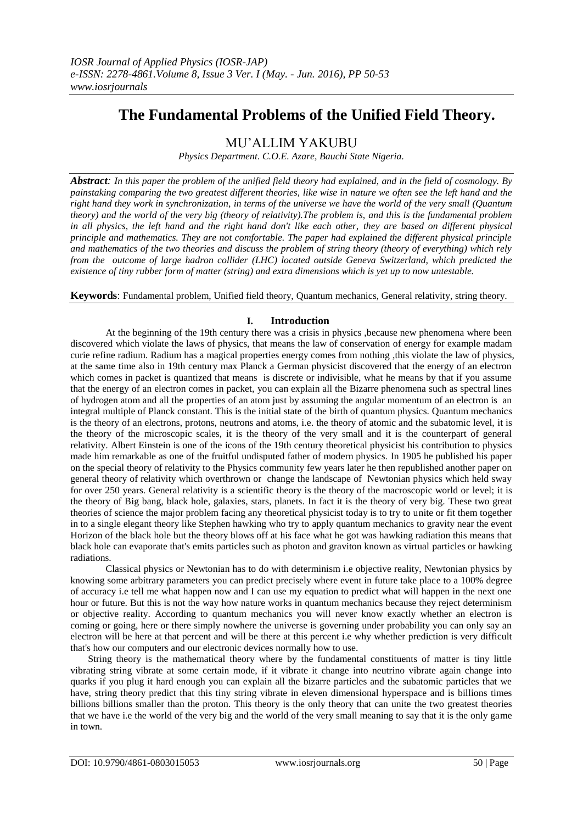# **The Fundamental Problems of the Unified Field Theory.**

# MU'ALLIM YAKUBU

*Physics Department. C.O.E. Azare, Bauchi State Nigeria.*

*Abstract: In this paper the problem of the unified field theory had explained, and in the field of cosmology. By painstaking comparing the two greatest different theories, like wise in nature we often see the left hand and the right hand they work in synchronization, in terms of the universe we have the world of the very small (Quantum theory) and the world of the very big (theory of relativity).The problem is, and this is the fundamental problem in all physics, the left hand and the right hand don't like each other, they are based on different physical principle and mathematics. They are not comfortable. The paper had explained the different physical principle and mathematics of the two theories and discuss the problem of string theory (theory of everything) which rely from the outcome of large hadron collider (LHC) located outside Geneva Switzerland, which predicted the existence of tiny rubber form of matter (string) and extra dimensions which is yet up to now untestable.*

**Keywords**: Fundamental problem, Unified field theory, Quantum mechanics, General relativity, string theory.

# **I. Introduction**

At the beginning of the 19th century there was a crisis in physics ,because new phenomena where been discovered which violate the laws of physics, that means the law of conservation of energy for example madam curie refine radium. Radium has a magical properties energy comes from nothing ,this violate the law of physics, at the same time also in 19th century max Planck a German physicist discovered that the energy of an electron which comes in packet is quantized that means is discrete or indivisible, what he means by that if you assume that the energy of an electron comes in packet, you can explain all the Bizarre phenomena such as spectral lines of hydrogen atom and all the properties of an atom just by assuming the angular momentum of an electron is an integral multiple of Planck constant. This is the initial state of the birth of quantum physics. Quantum mechanics is the theory of an electrons, protons, neutrons and atoms, i.e. the theory of atomic and the subatomic level, it is the theory of the microscopic scales, it is the theory of the very small and it is the counterpart of general relativity. Albert Einstein is one of the icons of the 19th century theoretical physicist his contribution to physics made him remarkable as one of the fruitful undisputed father of modern physics. In 1905 he published his paper on the special theory of relativity to the Physics community few years later he then republished another paper on general theory of relativity which overthrown or change the landscape of Newtonian physics which held sway for over 250 years. General relativity is a scientific theory is the theory of the macroscopic world or level; it is the theory of Big bang, black hole, galaxies, stars, planets. In fact it is the theory of very big. These two great theories of science the major problem facing any theoretical physicist today is to try to unite or fit them together in to a single elegant theory like Stephen hawking who try to apply quantum mechanics to gravity near the event Horizon of the black hole but the theory blows off at his face what he got was hawking radiation this means that black hole can evaporate that's emits particles such as photon and graviton known as virtual particles or hawking radiations.

Classical physics or Newtonian has to do with determinism i.e objective reality, Newtonian physics by knowing some arbitrary parameters you can predict precisely where event in future take place to a 100% degree of accuracy i.e tell me what happen now and I can use my equation to predict what will happen in the next one hour or future. But this is not the way how nature works in quantum mechanics because they reject determinism or objective reality. According to quantum mechanics you will never know exactly whether an electron is coming or going, here or there simply nowhere the universe is governing under probability you can only say an electron will be here at that percent and will be there at this percent i.e why whether prediction is very difficult that's how our computers and our electronic devices normally how to use.

String theory is the mathematical theory where by the fundamental constituents of matter is tiny little vibrating string vibrate at some certain mode, if it vibrate it change into neutrino vibrate again change into quarks if you plug it hard enough you can explain all the bizarre particles and the subatomic particles that we have, string theory predict that this tiny string vibrate in eleven dimensional hyperspace and is billions times billions billions smaller than the proton. This theory is the only theory that can unite the two greatest theories that we have i.e the world of the very big and the world of the very small meaning to say that it is the only game in town.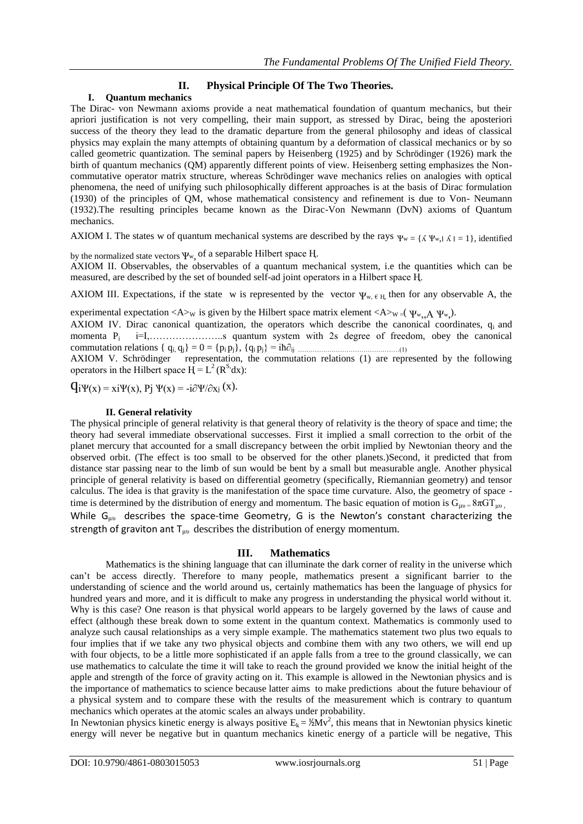# **II. Physical Principle Of The Two Theories.**

#### **I. Quantum mechanics**

The Dirac- von Newmann axioms provide a neat mathematical foundation of quantum mechanics, but their apriori justification is not very compelling, their main support, as stressed by Dirac, being the aposteriori success of the theory they lead to the dramatic departure from the general philosophy and ideas of classical physics may explain the many attempts of obtaining quantum by a deformation of classical mechanics or by so called geometric quantization. The seminal papers by Heisenberg (1925) and by Schrödinger (1926) mark the birth of quantum mechanics (QM) apparently different points of view. Heisenberg setting emphasizes the Noncommutative operator matrix structure, whereas Schrödinger wave mechanics relies on analogies with optical phenomena, the need of unifying such philosophically different approaches is at the basis of Dirac formulation (1930) of the principles of QM, whose mathematical consistency and refinement is due to Von- Neumann (1932).The resulting principles became known as the Dirac-Von Newmann (DvN) axioms of Quantum mechanics.

AXIOM I. The states w of quantum mechanical systems are described by the rays  $\Psi_w = \{\Lambda \Psi_w, \Lambda \mid \Lambda = 1\}$ , identified

by the normalized state vectors  $\Psi_{w}$ , of a separable Hilbert space H.

AXIOM II. Observables, the observables of a quantum mechanical system, i.e the quantities which can be measured, are described by the set of bounded self-ad joint operators in a Hilbert space H.

AXIOM III. Expectations, if the state w is represented by the vector  $\psi_{w, \ell, H}$ , then for any observable A, the

experimental expectation  $\langle A \rangle_W$  is given by the Hilbert space matrix element  $\langle A \rangle_W = (\Psi_{w_1}, A \Psi_{w_2})$ .

AXIOM IV. Dirac canonical quantization, the operators which describe the canonical coordinates, q<sub>i</sub> and momenta Pi i=I,…………………..s quantum system with 2s degree of freedom, obey the canonical commutation relations { qi, qj} = 0 = {pi pj}, {qi pj} = iћ∂ij …………………………………………(1)

AXIOM V. Schrödinger representation, the commutation relations (1) are represented by the following operators in the Hilbert space  $\overrightarrow{H} = L^2(R^s dx)$ :

 $\mathbf{q}_i \Psi(x) = x_i \Psi(x), \mathbf{p}_i \Psi(x) = -i \partial \Psi / \partial x_i (x).$ 

#### **II. General relativity**

The physical principle of general relativity is that general theory of relativity is the theory of space and time; the theory had several immediate observational successes. First it implied a small correction to the orbit of the planet mercury that accounted for a small discrepancy between the orbit implied by Newtonian theory and the observed orbit. (The effect is too small to be observed for the other planets.)Second, it predicted that from distance star passing near to the limb of sun would be bent by a small but measurable angle. Another physical principle of general relativity is based on differential geometry (specifically, Riemannian geometry) and tensor calculus. The idea is that gravity is the manifestation of the space time curvature. Also, the geometry of space time is determined by the distribution of energy and momentum. The basic equation of motion is  $G_{\mu\nu} = 8\pi G T_{\mu\nu}$ , While  $G_{\mu\nu}$  describes the space-time Geometry, G is the Newton's constant characterizing the strength of graviton ant  $T_{\mu\nu}$  describes the distribution of energy momentum.

# **III. Mathematics**

Mathematics is the shining language that can illuminate the dark corner of reality in the universe which can't be access directly. Therefore to many people, mathematics present a significant barrier to the understanding of science and the world around us, certainly mathematics has been the language of physics for hundred years and more, and it is difficult to make any progress in understanding the physical world without it. Why is this case? One reason is that physical world appears to be largely governed by the laws of cause and effect (although these break down to some extent in the quantum context. Mathematics is commonly used to analyze such causal relationships as a very simple example. The mathematics statement two plus two equals to four implies that if we take any two physical objects and combine them with any two others, we will end up with four objects, to be a little more sophisticated if an apple falls from a tree to the ground classically, we can use mathematics to calculate the time it will take to reach the ground provided we know the initial height of the apple and strength of the force of gravity acting on it. This example is allowed in the Newtonian physics and is the importance of mathematics to science because latter aims to make predictions about the future behaviour of a physical system and to compare these with the results of the measurement which is contrary to quantum mechanics which operates at the atomic scales an always under probability.

In Newtonian physics kinetic energy is always positive  $E_k = \frac{1}{2} M v^2$ , this means that in Newtonian physics kinetic energy will never be negative but in quantum mechanics kinetic energy of a particle will be negative, This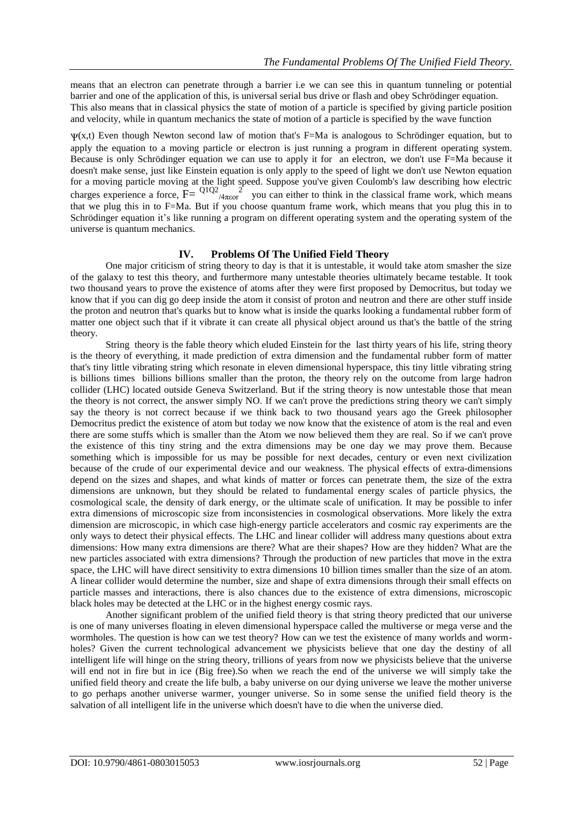means that an electron can penetrate through a barrier i.e we can see this in quantum tunneling or potential barrier and one of the application of this, is universal serial bus drive or flash and obey Schrödinger equation. This also means that in classical physics the state of motion of a particle is specified by giving particle position and velocity, while in quantum mechanics the state of motion of a particle is specified by the wave function

 $\Psi(x,t)$  Even though Newton second law of motion that's F=Ma is analogous to Schrödinger equation, but to apply the equation to a moving particle or electron is just running a program in different operating system. Because is only Schrödinger equation we can use to apply it for an electron, we don't use F=Ma because it doesn't make sense, just like Einstein equation is only apply to the speed of light we don't use Newton equation for a moving particle moving at the light speed. Suppose you've given Coulomb's law describing how electric charges experience a force,  $\overline{F} = \frac{Q_1 Q_2}{4 \pi \epsilon_0 r^2}$  you can either to think in the classical frame work, which means that we plug this in to F=Ma. But if you choose quantum frame work, which means that you plug this in to Schrödinger equation it's like running a program on different operating system and the operating system of the universe is quantum mechanics.

# **IV. Problems Of The Unified Field Theory**

One major criticism of string theory to day is that it is untestable, it would take atom smasher the size of the galaxy to test this theory, and furthermore many untestable theories ultimately became testable. It took two thousand years to prove the existence of atoms after they were first proposed by Democritus, but today we know that if you can dig go deep inside the atom it consist of proton and neutron and there are other stuff inside the proton and neutron that's quarks but to know what is inside the quarks looking a fundamental rubber form of matter one object such that if it vibrate it can create all physical object around us that's the battle of the string theory.

String theory is the fable theory which eluded Einstein for the last thirty years of his life, string theory is the theory of everything, it made prediction of extra dimension and the fundamental rubber form of matter that's tiny little vibrating string which resonate in eleven dimensional hyperspace, this tiny little vibrating string is billions times billions billions smaller than the proton, the theory rely on the outcome from large hadron collider (LHC) located outside Geneva Switzerland. But if the string theory is now untestable those that mean the theory is not correct, the answer simply NO. If we can't prove the predictions string theory we can't simply say the theory is not correct because if we think back to two thousand years ago the Greek philosopher Democritus predict the existence of atom but today we now know that the existence of atom is the real and even there are some stuffs which is smaller than the Atom we now believed them they are real. So if we can't prove the existence of this tiny string and the extra dimensions may be one day we may prove them. Because something which is impossible for us may be possible for next decades, century or even next civilization because of the crude of our experimental device and our weakness. The physical effects of extra-dimensions depend on the sizes and shapes, and what kinds of matter or forces can penetrate them, the size of the extra dimensions are unknown, but they should be related to fundamental energy scales of particle physics, the cosmological scale, the density of dark energy, or the ultimate scale of unification. It may be possible to infer extra dimensions of microscopic size from inconsistencies in cosmological observations. More likely the extra dimension are microscopic, in which case high-energy particle accelerators and cosmic ray experiments are the only ways to detect their physical effects. The LHC and linear collider will address many questions about extra dimensions: How many extra dimensions are there? What are their shapes? How are they hidden? What are the new particles associated with extra dimensions? Through the production of new particles that move in the extra space, the LHC will have direct sensitivity to extra dimensions 10 billion times smaller than the size of an atom. A linear collider would determine the number, size and shape of extra dimensions through their small effects on particle masses and interactions, there is also chances due to the existence of extra dimensions, microscopic black holes may be detected at the LHC or in the highest energy cosmic rays.

Another significant problem of the unified field theory is that string theory predicted that our universe is one of many universes floating in eleven dimensional hyperspace called the multiverse or mega verse and the wormholes. The question is how can we test theory? How can we test the existence of many worlds and wormholes? Given the current technological advancement we physicists believe that one day the destiny of all intelligent life will hinge on the string theory, trillions of years from now we physicists believe that the universe will end not in fire but in ice (Big free).So when we reach the end of the universe we will simply take the unified field theory and create the life bulb, a baby universe on our dying universe we leave the mother universe to go perhaps another universe warmer, younger universe. So in some sense the unified field theory is the salvation of all intelligent life in the universe which doesn't have to die when the universe died.